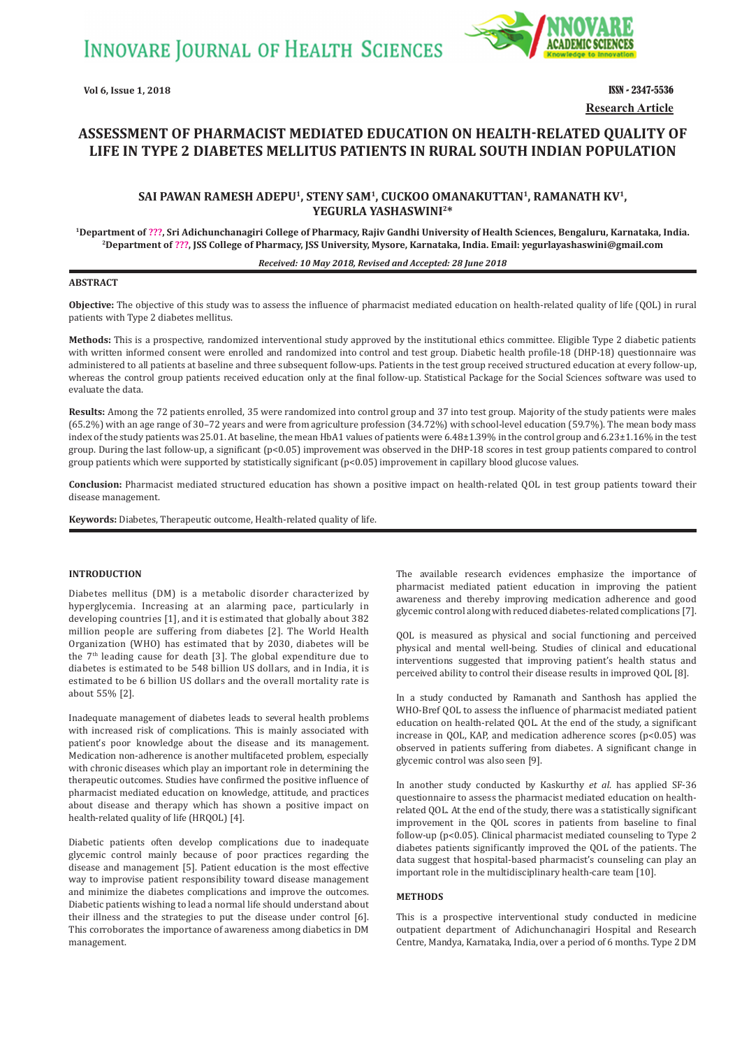

**Vol 6, Issue 1, 2018** ISSN - 2347-5536 **Research Article**

# **ASSESSMENT OF PHARMACIST MEDIATED EDUCATION ON HEALTH-RELATED QUALITY OF LIFE IN TYPE 2 DIABETES MELLITUS PATIENTS IN RURAL SOUTH INDIAN POPULATION**

## **SAI PAWAN RAMESH ADEPU1, STENY SAM1, CUCKOO OMANAKUTTAN1, RAMANATH KV1, YEGURLA YASHASWINI2\***

<sup>1</sup>Department of ???, Sri Adichunchanagiri College of Pharmacy, Rajiv Gandhi University of Health Sciences, Bengaluru, Karnataka, India.<br><sup>2</sup>Department of ???, JSS College of Pharmacy, JSS University, Mysore, Karnataka, Ind

#### *Received: 10 May 2018, Revised and Accepted: 28 June 2018*

#### **ABSTRACT**

**Objective:** The objective of this study was to assess the influence of pharmacist mediated education on health-related quality of life (QOL) in rural patients with Type 2 diabetes mellitus.

**Methods:** This is a prospective, randomized interventional study approved by the institutional ethics committee. Eligible Type 2 diabetic patients with written informed consent were enrolled and randomized into control and test group. Diabetic health profile-18 (DHP-18) questionnaire was administered to all patients at baseline and three subsequent follow-ups. Patients in the test group received structured education at every follow-up, whereas the control group patients received education only at the final follow-up. Statistical Package for the Social Sciences software was used to evaluate the data.

**Results:** Among the 72 patients enrolled, 35 were randomized into control group and 37 into test group. Majority of the study patients were males (65.2%) with an age range of 30–72 years and were from agriculture profession (34.72%) with school-level education (59.7%). The mean body mass index of the study patients was 25.01. At baseline, the mean HbA1 values of patients were 6.48±1.39% in the control group and 6.23±1.16% in the test group. During the last follow-up, a significant (p<0.05) improvement was observed in the DHP-18 scores in test group patients compared to control group patients which were supported by statistically significant (p<0.05) improvement in capillary blood glucose values.

**Conclusion:** Pharmacist mediated structured education has shown a positive impact on health-related QOL in test group patients toward their disease management.

**Keywords:** Diabetes, Therapeutic outcome, Health-related quality of life.

### **INTRODUCTION**

Diabetes mellitus (DM) is a metabolic disorder characterized by hyperglycemia. Increasing at an alarming pace, particularly in developing countries [1], and it is estimated that globally about 382 million people are suffering from diabetes [2]. The World Health Organization (WHO) has estimated that by 2030, diabetes will be the  $7<sup>th</sup>$  leading cause for death [3]. The global expenditure due to diabetes is estimated to be 548 billion US dollars, and in India, it is estimated to be 6 billion US dollars and the overall mortality rate is about 55% [2].

Inadequate management of diabetes leads to several health problems with increased risk of complications. This is mainly associated with patient's poor knowledge about the disease and its management. Medication non-adherence is another multifaceted problem, especially with chronic diseases which play an important role in determining the therapeutic outcomes. Studies have confirmed the positive influence of pharmacist mediated education on knowledge, attitude, and practices about disease and therapy which has shown a positive impact on health-related quality of life (HRQOL) [4].

Diabetic patients often develop complications due to inadequate glycemic control mainly because of poor practices regarding the disease and management [5]. Patient education is the most effective way to improvise patient responsibility toward disease management and minimize the diabetes complications and improve the outcomes. Diabetic patients wishing to lead a normal life should understand about their illness and the strategies to put the disease under control [6]. This corroborates the importance of awareness among diabetics in DM management.

The available research evidences emphasize the importance of pharmacist mediated patient education in improving the patient awareness and thereby improving medication adherence and good glycemic control along with reduced diabetes-related complications [7].

QOL is measured as physical and social functioning and perceived physical and mental well-being. Studies of clinical and educational interventions suggested that improving patient's health status and perceived ability to control their disease results in improved QOL [8].

In a study conducted by Ramanath and Santhosh has applied the WHO-Bref QOL to assess the influence of pharmacist mediated patient education on health-related QOL. At the end of the study, a significant increase in QOL, KAP, and medication adherence scores (p<0.05) was observed in patients suffering from diabetes. A significant change in glycemic control was also seen [9].

In another study conducted by Kaskurthy *et al*. has applied SF-36 questionnaire to assess the pharmacist mediated education on healthrelated QOL. At the end of the study, there was a statistically significant improvement in the QOL scores in patients from baseline to final follow-up (p<0.05). Clinical pharmacist mediated counseling to Type 2 diabetes patients significantly improved the QOL of the patients. The data suggest that hospital-based pharmacist's counseling can play an important role in the multidisciplinary health-care team [10].

#### **METHODS**

This is a prospective interventional study conducted in medicine outpatient department of Adichunchanagiri Hospital and Research Centre, Mandya, Karnataka, India, over a period of 6 months. Type 2 DM